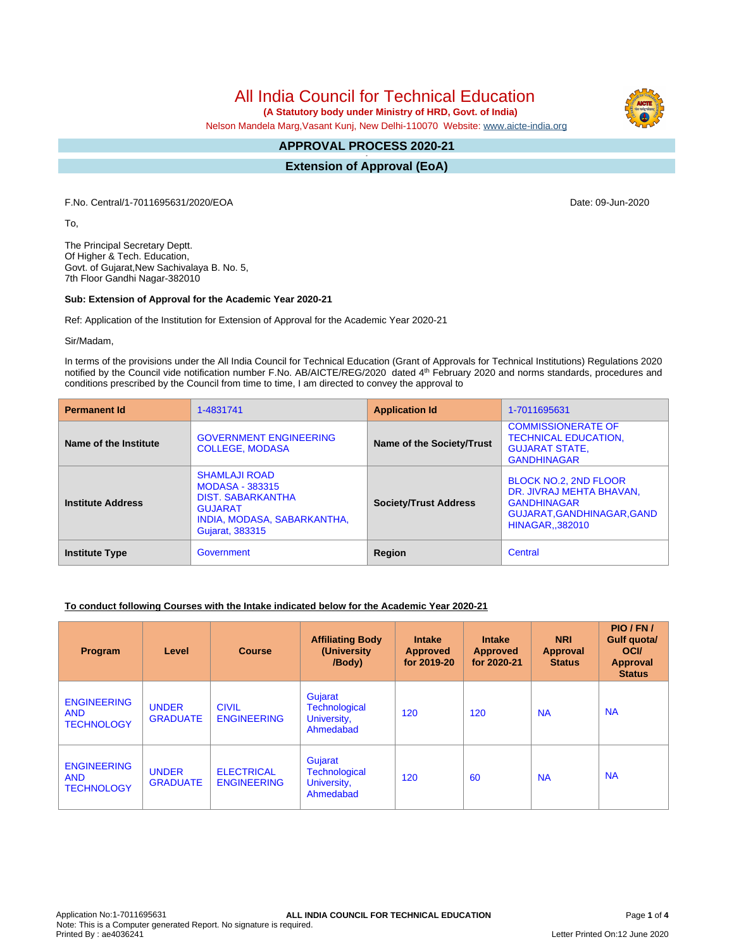# All India Council for Technical Education

 **(A Statutory body under Ministry of HRD, Govt. of India)**

Nelson Mandela Marg,Vasant Kunj, New Delhi-110070 Website: [www.aicte-india.org](http://www.aicte-india.org)

#### **APPROVAL PROCESS 2020-21 -**

**Extension of Approval (EoA)**

F.No. Central/1-7011695631/2020/EOA Date: 09-Jun-2020

To,

The Principal Secretary Deptt. Of Higher & Tech. Education, Govt. of Gujarat,New Sachivalaya B. No. 5, 7th Floor Gandhi Nagar-382010

#### **Sub: Extension of Approval for the Academic Year 2020-21**

Ref: Application of the Institution for Extension of Approval for the Academic Year 2020-21

Sir/Madam,

In terms of the provisions under the All India Council for Technical Education (Grant of Approvals for Technical Institutions) Regulations 2020 notified by the Council vide notification number F.No. AB/AICTE/REG/2020 dated 4<sup>th</sup> February 2020 and norms standards, procedures and conditions prescribed by the Council from time to time, I am directed to convey the approval to

| <b>Permanent Id</b>      | 1-4831741                                                                                                                                      | <b>Application Id</b>        | 1-7011695631                                                                                                                         |
|--------------------------|------------------------------------------------------------------------------------------------------------------------------------------------|------------------------------|--------------------------------------------------------------------------------------------------------------------------------------|
| Name of the Institute    | <b>GOVERNMENT ENGINEERING</b><br><b>COLLEGE, MODASA</b>                                                                                        | Name of the Society/Trust    | <b>COMMISSIONERATE OF</b><br><b>TECHNICAL EDUCATION,</b><br><b>GUJARAT STATE,</b><br><b>GANDHINAGAR</b>                              |
| <b>Institute Address</b> | <b>SHAMLAJI ROAD</b><br><b>MODASA - 383315</b><br><b>DIST. SABARKANTHA</b><br><b>GUJARAT</b><br>INDIA, MODASA, SABARKANTHA,<br>Gujarat, 383315 | <b>Society/Trust Address</b> | <b>BLOCK NO.2. 2ND FLOOR</b><br>DR. JIVRAJ MEHTA BHAVAN,<br><b>GANDHINAGAR</b><br>GUJARAT, GANDHINAGAR, GAND<br><b>HINAGAR382010</b> |
| <b>Institute Type</b>    | Government                                                                                                                                     | Region                       | Central                                                                                                                              |

### **To conduct following Courses with the Intake indicated below for the Academic Year 2020-21**

| Program                                               | Level                           | <b>Course</b>                           | <b>Affiliating Body</b><br>(University)<br>/Body)           | <b>Intake</b><br><b>Approved</b><br>for 2019-20 | <b>Intake</b><br><b>Approved</b><br>for 2020-21 | <b>NRI</b><br><b>Approval</b><br><b>Status</b> | PIO/FN/<br><b>Gulf quotal</b><br><b>OCI</b><br>Approval<br><b>Status</b> |
|-------------------------------------------------------|---------------------------------|-----------------------------------------|-------------------------------------------------------------|-------------------------------------------------|-------------------------------------------------|------------------------------------------------|--------------------------------------------------------------------------|
| <b>ENGINEERING</b><br><b>AND</b><br><b>TECHNOLOGY</b> | <b>UNDER</b><br><b>GRADUATE</b> | <b>CIVIL</b><br><b>ENGINEERING</b>      | Gujarat<br><b>Technological</b><br>University,<br>Ahmedabad | 120                                             | 120                                             | <b>NA</b>                                      | <b>NA</b>                                                                |
| <b>ENGINEERING</b><br><b>AND</b><br><b>TECHNOLOGY</b> | <b>UNDER</b><br><b>GRADUATE</b> | <b>ELECTRICAL</b><br><b>ENGINEERING</b> | Gujarat<br><b>Technological</b><br>University,<br>Ahmedabad | 120                                             | 60                                              | <b>NA</b>                                      | <b>NA</b>                                                                |

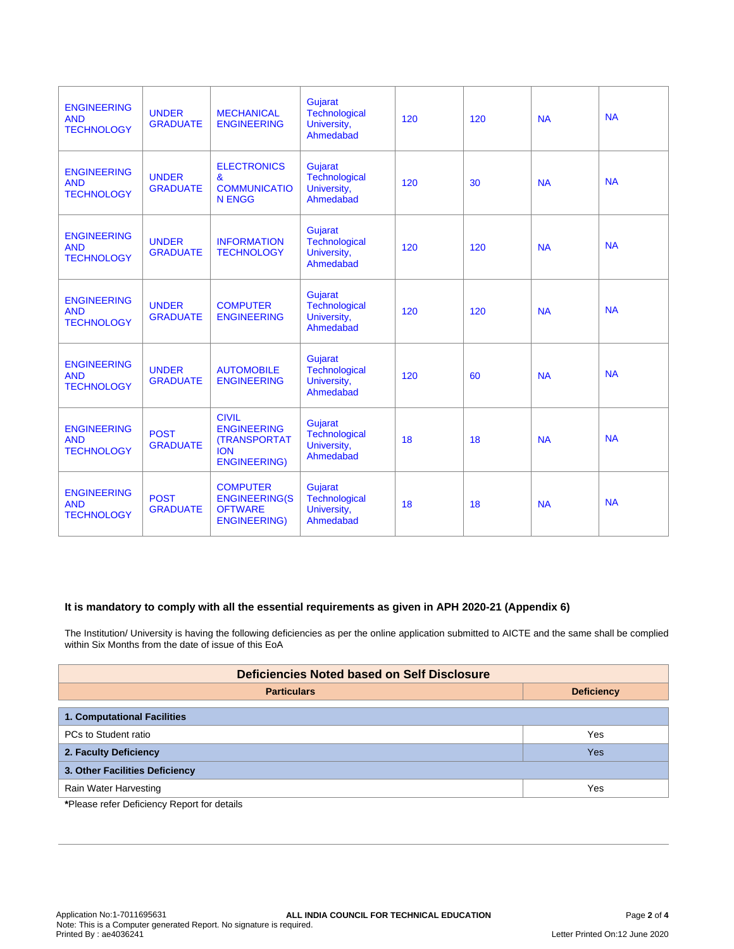| <b>ENGINEERING</b><br><b>AND</b><br><b>TECHNOLOGY</b> | <b>UNDER</b><br><b>GRADUATE</b> | <b>MECHANICAL</b><br><b>ENGINEERING</b>                                                        | Gujarat<br>Technological<br>University,<br>Ahmedabad        | 120 | 120 | <b>NA</b> | <b>NA</b> |
|-------------------------------------------------------|---------------------------------|------------------------------------------------------------------------------------------------|-------------------------------------------------------------|-----|-----|-----------|-----------|
| <b>ENGINEERING</b><br><b>AND</b><br><b>TECHNOLOGY</b> | <b>UNDER</b><br><b>GRADUATE</b> | <b>ELECTRONICS</b><br>&<br><b>COMMUNICATIO</b><br><b>N ENGG</b>                                | Gujarat<br><b>Technological</b><br>University,<br>Ahmedabad | 120 | 30  | <b>NA</b> | <b>NA</b> |
| <b>ENGINEERING</b><br><b>AND</b><br><b>TECHNOLOGY</b> | <b>UNDER</b><br><b>GRADUATE</b> | <b>INFORMATION</b><br><b>TECHNOLOGY</b>                                                        | Gujarat<br>Technological<br>University,<br>Ahmedabad        | 120 | 120 | <b>NA</b> | <b>NA</b> |
| <b>ENGINEERING</b><br><b>AND</b><br><b>TECHNOLOGY</b> | <b>UNDER</b><br><b>GRADUATE</b> | <b>COMPUTER</b><br><b>ENGINEERING</b>                                                          | Gujarat<br>Technological<br>University,<br>Ahmedabad        | 120 | 120 | <b>NA</b> | <b>NA</b> |
| <b>ENGINEERING</b><br><b>AND</b><br><b>TECHNOLOGY</b> | <b>UNDER</b><br><b>GRADUATE</b> | <b>AUTOMOBILE</b><br><b>ENGINEERING</b>                                                        | Gujarat<br>Technological<br>University,<br>Ahmedabad        | 120 | 60  | <b>NA</b> | <b>NA</b> |
| <b>ENGINEERING</b><br><b>AND</b><br><b>TECHNOLOGY</b> | <b>POST</b><br><b>GRADUATE</b>  | <b>CIVIL</b><br><b>ENGINEERING</b><br><b>(TRANSPORTAT</b><br><b>ION</b><br><b>ENGINEERING)</b> | Gujarat<br>Technological<br>University,<br>Ahmedabad        | 18  | 18  | <b>NA</b> | <b>NA</b> |
| <b>ENGINEERING</b><br><b>AND</b><br><b>TECHNOLOGY</b> | <b>POST</b><br><b>GRADUATE</b>  | <b>COMPUTER</b><br><b>ENGINEERING(S</b><br><b>OFTWARE</b><br><b>ENGINEERING)</b>               | Gujarat<br>Technological<br>University,<br>Ahmedabad        | 18  | 18  | <b>NA</b> | <b>NA</b> |

## **It is mandatory to comply with all the essential requirements as given in APH 2020-21 (Appendix 6)**

The Institution/ University is having the following deficiencies as per the online application submitted to AICTE and the same shall be complied within Six Months from the date of issue of this EoA

| <b>Deficiencies Noted based on Self Disclosure</b> |                   |  |  |  |  |
|----------------------------------------------------|-------------------|--|--|--|--|
| <b>Particulars</b>                                 | <b>Deficiency</b> |  |  |  |  |
| <b>1. Computational Facilities</b>                 |                   |  |  |  |  |
| PCs to Student ratio                               | Yes               |  |  |  |  |
| 2. Faculty Deficiency                              | Yes               |  |  |  |  |
| 3. Other Facilities Deficiency                     |                   |  |  |  |  |
| Rain Water Harvesting                              | Yes               |  |  |  |  |
| *Dlogge refer Deficiency Report for details        |                   |  |  |  |  |

**\***Please refer Deficiency Report for details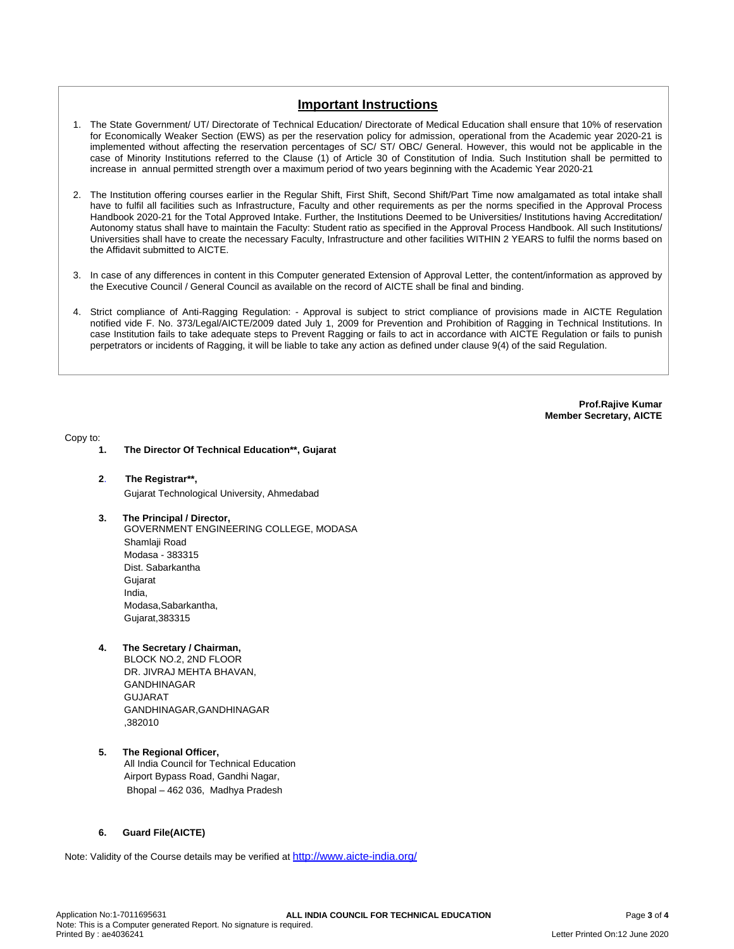# **Important Instructions**

- 1. The State Government/ UT/ Directorate of Technical Education/ Directorate of Medical Education shall ensure that 10% of reservation for Economically Weaker Section (EWS) as per the reservation policy for admission, operational from the Academic year 2020-21 is implemented without affecting the reservation percentages of SC/ ST/ OBC/ General. However, this would not be applicable in the case of Minority Institutions referred to the Clause (1) of Article 30 of Constitution of India. Such Institution shall be permitted to increase in annual permitted strength over a maximum period of two years beginning with the Academic Year 2020-21
- 2. The Institution offering courses earlier in the Regular Shift, First Shift, Second Shift/Part Time now amalgamated as total intake shall have to fulfil all facilities such as Infrastructure, Faculty and other requirements as per the norms specified in the Approval Process Handbook 2020-21 for the Total Approved Intake. Further, the Institutions Deemed to be Universities/ Institutions having Accreditation/ Autonomy status shall have to maintain the Faculty: Student ratio as specified in the Approval Process Handbook. All such Institutions/ Universities shall have to create the necessary Faculty, Infrastructure and other facilities WITHIN 2 YEARS to fulfil the norms based on the Affidavit submitted to AICTE.
- 3. In case of any differences in content in this Computer generated Extension of Approval Letter, the content/information as approved by the Executive Council / General Council as available on the record of AICTE shall be final and binding.
- 4. Strict compliance of Anti-Ragging Regulation: Approval is subject to strict compliance of provisions made in AICTE Regulation notified vide F. No. 373/Legal/AICTE/2009 dated July 1, 2009 for Prevention and Prohibition of Ragging in Technical Institutions. In case Institution fails to take adequate steps to Prevent Ragging or fails to act in accordance with AICTE Regulation or fails to punish perpetrators or incidents of Ragging, it will be liable to take any action as defined under clause 9(4) of the said Regulation.

**Prof.Rajive Kumar Member Secretary, AICTE**

Copy to:

- **1. The Director Of Technical Education\*\*, Gujarat**
- **2**. **The Registrar\*\*,**
	- Gujarat Technological University, Ahmedabad
- **3. The Principal / Director,**
	- GOVERNMENT ENGINEERING COLLEGE, MODASA Shamlaji Road Modasa - 383315 Dist. Sabarkantha Gujarat India, Modasa,Sabarkantha, Gujarat,383315
- **4. The Secretary / Chairman,**

BLOCK NO.2, 2ND FLOOR DR. JIVRAJ MEHTA BHAVAN, GANDHINAGAR **GULIARAT** GANDHINAGAR,GANDHINAGAR ,382010

**5. The Regional Officer,** All India Council for Technical Education Airport Bypass Road, Gandhi Nagar, Bhopal – 462 036, Madhya Pradesh

#### **6. Guard File(AICTE)**

Note: Validity of the Course details may be verified at <http://www.aicte-india.org/>